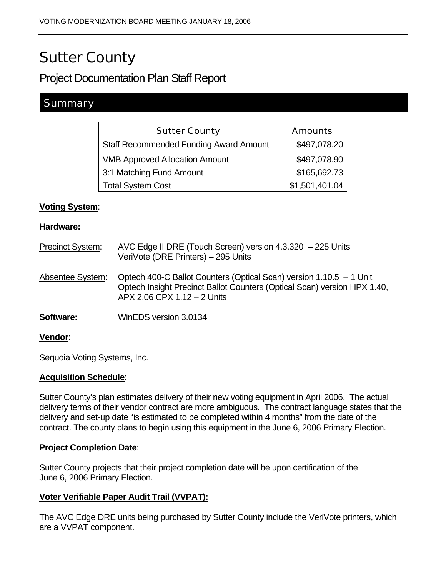# Sutter County

## Project Documentation Plan Staff Report

### **Summary**

| <b>Sutter County</b>                          | <b>Amounts</b> |
|-----------------------------------------------|----------------|
| <b>Staff Recommended Funding Award Amount</b> | \$497,078.20   |
| <b>VMB Approved Allocation Amount</b>         | \$497,078.90   |
| 3:1 Matching Fund Amount                      | \$165,692.73   |
| <b>Total System Cost</b>                      | \$1,501,401.04 |

#### **Voting System**:

#### **Hardware:**

| <b>Precinct System:</b> | AVC Edge II DRE (Touch Screen) version 4.3.320 - 225 Units<br>VeriVote (DRE Printers) - 295 Units                                                                              |
|-------------------------|--------------------------------------------------------------------------------------------------------------------------------------------------------------------------------|
| Absentee System:        | Optech 400-C Ballot Counters (Optical Scan) version 1.10.5 - 1 Unit<br>Optech Insight Precinct Ballot Counters (Optical Scan) version HPX 1.40,<br>APX 2.06 CPX 1.12 - 2 Units |
| Software:               | WinEDS version 3.0134                                                                                                                                                          |
| <b>Vendor:</b>          |                                                                                                                                                                                |

Sequoia Voting Systems, Inc.

#### **Acquisition Schedule**:

Sutter County's plan estimates delivery of their new voting equipment in April 2006. The actual delivery terms of their vendor contract are more ambiguous. The contract language states that the delivery and set-up date "is estimated to be completed within 4 months" from the date of the contract. The county plans to begin using this equipment in the June 6, 2006 Primary Election.

#### **Project Completion Date**:

Sutter County projects that their project completion date will be upon certification of the June 6, 2006 Primary Election.

#### **Voter Verifiable Paper Audit Trail (VVPAT):**

The AVC Edge DRE units being purchased by Sutter County include the VeriVote printers, which are a VVPAT component.